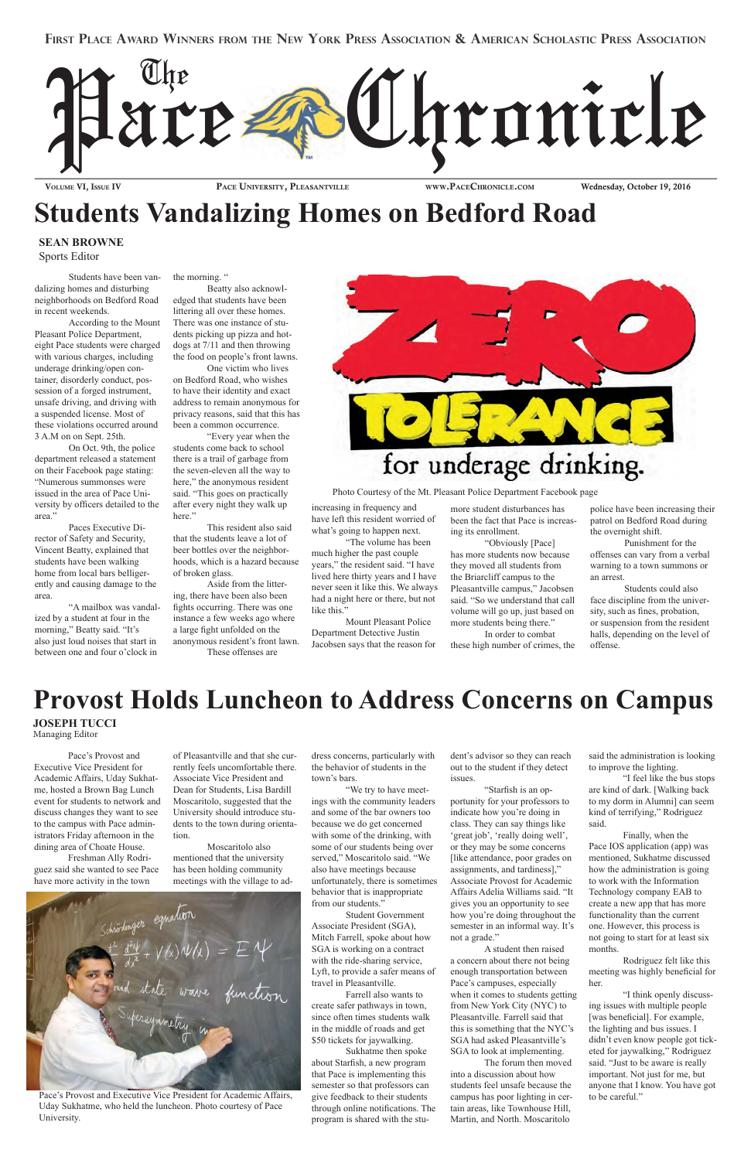Volume VI, Issue IV

PACE UNIVERSITY, PLEASANTVILLE

www.PaceChronIcle.com

Wednesday, October 19, 2016

### **First Place award winners From the new York Press association & american scholastic Press association**



## **Students Vandalizing Homes on Bedford Road**

Students have been vandalizing homes and disturbing neighborhoods on Bedford Road in recent weekends.

According to the Mount Pleasant Police Department, eight Pace students were charged with various charges, including underage drinking/open container, disorderly conduct, possession of a forged instrument, unsafe driving, and driving with a suspended license. Most of these violations occurred around 3 A.M on on Sept. 25th.

On Oct. 9th, the police department released a statement on their Facebook page stating: "Numerous summonses were issued in the area of Pace University by officers detailed to the area."

Paces Executive Director of Safety and Security, Vincent Beatty, explained that students have been walking home from local bars belligerently and causing damage to the area.

"A mailbox was vandalized by a student at four in the morning," Beatty said. "It's also just loud noises that start in between one and four o'clock in

the morning. "

Beatty also acknowledged that students have been littering all over these homes. There was one instance of students picking up pizza and hotdogs at 7/11 and then throwing the food on people's front lawns.

One victim who lives on Bedford Road, who wishes to have their identity and exact address to remain anonymous for privacy reasons, said that this has been a common occurrence.

"Every year when the students come back to school there is a trail of garbage from the seven-eleven all the way to here," the anonymous resident said. "This goes on practically after every night they walk up here."

This resident also said that the students leave a lot of beer bottles over the neighborhoods, which is a hazard because of broken glass.

Aside from the littering, there have been also been fghts occurring. There was one instance a few weeks ago where a large fght unfolded on the anonymous resident's front lawn.

These offenses are



increasing in frequency and have left this resident worried of what's going to happen next.

"The volume has been much higher the past couple years," the resident said. "I have lived here thirty years and I have never seen it like this. We always had a night here or there, but not like this."

Mount Pleasant Police Department Detective Justin Jacobsen says that the reason for

Pace's Provost and Executive Vice President for Academic Affairs, Uday Sukhatme, hosted a Brown Bag Lunch event for students to network and discuss changes they want to see to the campus with Pace administrators Friday afternoon in the dining area of Choate House.

Freshman Ally Rodriguez said she wanted to see Pace have more activity in the town

of Pleasantville and that she currently feels uncomfortable there. Associate Vice President and Dean for Students, Lisa Bardill Moscaritolo, suggested that the University should introduce students to the town during orientation.

#### Moscaritolo also

mentioned that the university has been holding community meetings with the village to ad-

a a y + V (x) W (x) = E 14<br>and state wave function

dress concerns, particularly with the behavior of students in the town's bars.

"We try to have meetings with the community leaders and some of the bar owners too because we do get concerned with some of the drinking, with some of our students being over

served," Moscaritolo said. "We also have meetings because unfortunately, there is sometimes behavior that is inappropriate from our students."

Student Government Associate President (SGA), Mitch Farrell, spoke about how SGA is working on a contract with the ride-sharing service, Lyft, to provide a safer means of travel in Pleasantville.

Farrell also wants to create safer pathways in town, since often times students walk in the middle of roads and get \$50 tickets for jaywalking.

Sukhatme then spoke about Starfsh, a new program that Pace is implementing this semester so that professors can give feedback to their students through online notifcations. The program is shared with the student's advisor so they can reach out to the student if they detect issues.

"Starfsh is an opportunity for your professors to indicate how you're doing in class. They can say things like 'great job', 'really doing well', or they may be some concerns

[like attendance, poor grades on assignments, and tardiness]," Associate Provost for Academic Affairs Adelia Williams said. "It gives you an opportunity to see how you're doing throughout the semester in an informal way. It's not a grade."

A student then raised a concern about there not being enough transportation between Pace's campuses, especially when it comes to students getting from New York City (NYC) to Pleasantville. Farrell said that this is something that the NYC's SGA had asked Pleasantville's SGA to look at implementing.

The forum then moved into a discussion about how students feel unsafe because the campus has poor lighting in certain areas, like Townhouse Hill, Martin, and North. Moscaritolo

### **Provost Holds Luncheon to Address Concerns on Campus**

**JOSEPH TUCCI**  Managing Editor

> said the administration is looking to improve the lighting.

> "I feel like the bus stops are kind of dark. [Walking back to my dorm in Alumni] can seem kind of terrifying," Rodriguez said.

Finally, when the Pace IOS application (app) was

mentioned, Sukhatme discussed how the administration is going to work with the Information Technology company EAB to create a new app that has more functionality than the current one. However, this process is not going to start for at least six months.

Rodriguez felt like this meeting was highly benefcial for her.

"I think openly discussing issues with multiple people [was beneficial]. For example, the lighting and bus issues. I didn't even know people got ticketed for jaywalking," Rodriguez said. "Just to be aware is really important. Not just for me, but anyone that I know. You have got to be careful."

Photo Courtesy of the Mt. Pleasant Police Department Facebook page

Pace's Provost and Executive Vice President for Academic Affairs, Uday Sukhatme, who held the luncheon. Photo courtesy of Pace University.

#### **SEAN BROWNE** Sports Editor

more student disturbances has been the fact that Pace is increasing its enrollment.

"Obviously [Pace] has more students now because they moved all students from the Briarcliff campus to the Pleasantville campus," Jacobsen said. "So we understand that call volume will go up, just based on more students being there."

In order to combat these high number of crimes, the police have been increasing their patrol on Bedford Road during the overnight shift.

Punishment for the offenses can vary from a verbal warning to a town summons or an arrest.

Students could also face discipline from the university, such as fnes, probation, or suspension from the resident halls, depending on the level of offense.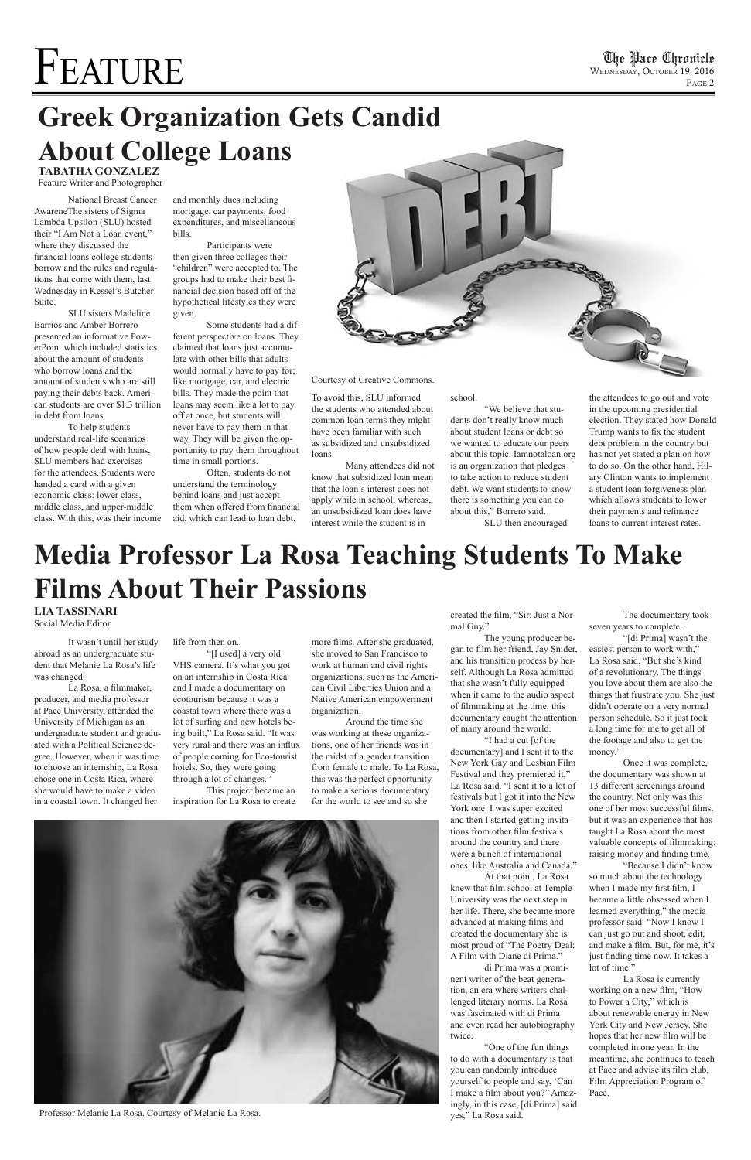# FEATURE

The Pare Chronicle<br>WEDNESDAY, OCTOBER 19, 2016 P<sub>AGE</sub> 2

# **Greek Organization Gets Candid About College Loans**

**TABATHA GONZALEZ** Feature Writer and Photographer

 National Breast Cancer AwareneThe sisters of Sigma Lambda Upsilon (SLU) hosted their "I Am Not a Loan event," where they discussed the fnancial loans college students borrow and the rules and regulations that come with them, last Wednesday in Kessel's Butcher Suite.

 SLU sisters Madeline Barrios and Amber Borrero presented an informative PowerPoint which included statistics about the amount of students who borrow loans and the amount of students who are still paying their debts back. American students are over \$1.3 trillion in debt from loans.

 To help students understand real-life scenarios of how people deal with loans, SLU members had exercises for the attendees. Students were handed a card with a given economic class: lower class, middle class, and upper-middle class. With this, was their income

and monthly dues including mortgage, car payments, food expenditures, and miscellaneous bills.

 Participants were then given three colleges their "children" were accepted to. The groups had to make their best fnancial decision based off of the hypothetical lifestyles they were given.

 Some students had a different perspective on loans. They claimed that loans just accumulate with other bills that adults would normally have to pay for; like mortgage, car, and electric bills. They made the point that loans may seem like a lot to pay off at once, but students will never have to pay them in that way. They will be given the opportunity to pay them throughout time in small portions.

 Often, students do not understand the terminology behind loans and just accept them when offered from fnancial aid, which can lead to loan debt.



To avoid this, SLU informed the students who attended about common loan terms they might have been familiar with such as subsidized and unsubsidized loans.

 Many attendees did not know that subsidized loan mean that the loan's interest does not apply while in school, whereas, an unsubsidized loan does have interest while the student is in

school.

 "We believe that students don't really know much about student loans or debt so we wanted to educate our peers about this topic. Iamnotaloan.org is an organization that pledges to take action to reduce student debt. We want students to know there is something you can do about this," Borrero said.

SLU then encouraged

the attendees to go out and vote in the upcoming presidential election. They stated how Donald Trump wants to fx the student debt problem in the country but has not yet stated a plan on how to do so. On the other hand, Hilary Clinton wants to implement a student loan forgiveness plan which allows students to lower their payments and refnance loans to current interest rates.

#### Courtesy of Creative Commons.

## **Media Professor La Rosa Teaching Students To Make Films About Their Passions**

 It wasn't until her study abroad as an undergraduate student that Melanie La Rosa's life was changed.

 La Rosa, a flmmaker, producer, and media professor at Pace University, attended the University of Michigan as an undergraduate student and graduated with a Political Science degree. However, when it was time to choose an internship, La Rosa chose one in Costa Rica, where she would have to make a video in a coastal town. It changed her

life from then on.

 "[I used] a very old VHS camera. It's what you got on an internship in Costa Rica and I made a documentary on ecotourism because it was a coastal town where there was a lot of surfng and new hotels being built," La Rosa said. "It was very rural and there was an infux of people coming for Eco-tourist hotels. So, they were going through a lot of changes."

 This project became an inspiration for La Rosa to create more flms. After she graduated, she moved to San Francisco to work at human and civil rights organizations, such as the American Civil Liberties Union and a Native American empowerment organization.

 Around the time she was working at these organizations, one of her friends was in the midst of a gender transition from female to male. To La Rosa, this was the perfect opportunity to make a serious documentary for the world to see and so she

### **LIA TASSINARI**

Social Media Editor

created the flm, "Sir: Just a Normal Guy."

 The young producer began to flm her friend, Jay Snider, and his transition process by herself. Although La Rosa admitted that she wasn't fully equipped when it came to the audio aspect of flmmaking at the time, this documentary caught the attention of many around the world.

 "I had a cut [of the documentary] and I sent it to the New York Gay and Lesbian Film Festival and they premiered it," La Rosa said. "I sent it to a lot of festivals but I got it into the New York one. I was super excited and then I started getting invitations from other flm festivals around the country and there

were a bunch of international ones, like Australia and Canada."

 At that point, La Rosa knew that flm school at Temple University was the next step in her life. There, she became more advanced at making flms and created the documentary she is most proud of "The Poetry Deal: A Film with Diane di Prima."

 di Prima was a prominent writer of the beat generation, an era where writers challenged literary norms. La Rosa was fascinated with di Prima and even read her autobiography twice.

 "One of the fun things to do with a documentary is that you can randomly introduce yourself to people and say, 'Can I make a flm about you?" Amazingly, in this case, [di Prima] said yes," La Rosa said.

 The documentary took seven years to complete.

 "[di Prima] wasn't the easiest person to work with," La Rosa said. "But she's kind of a revolutionary. The things you love about them are also the things that frustrate you. She just didn't operate on a very normal person schedule. So it just took a long time for me to get all of the footage and also to get the money."

 Once it was complete, the documentary was shown at 13 different screenings around the country. Not only was this one of her most successful flms, but it was an experience that has taught La Rosa about the most valuable concepts of flmmaking: raising money and fnding time. "Because I didn't know so much about the technology when I made my frst flm, I became a little obsessed when I learned everything," the media professor said. "Now I know I can just go out and shoot, edit, and make a flm. But, for me, it's just fnding time now. It takes a lot of time." La Rosa is currently working on a new flm, "How to Power a City," which is about renewable energy in New York City and New Jersey. She hopes that her new flm will be completed in one year. In the meantime, she continues to teach at Pace and advise its flm club, Film Appreciation Program of Pace.



Professor Melanie La Rosa. Courtesy of Melanie La Rosa.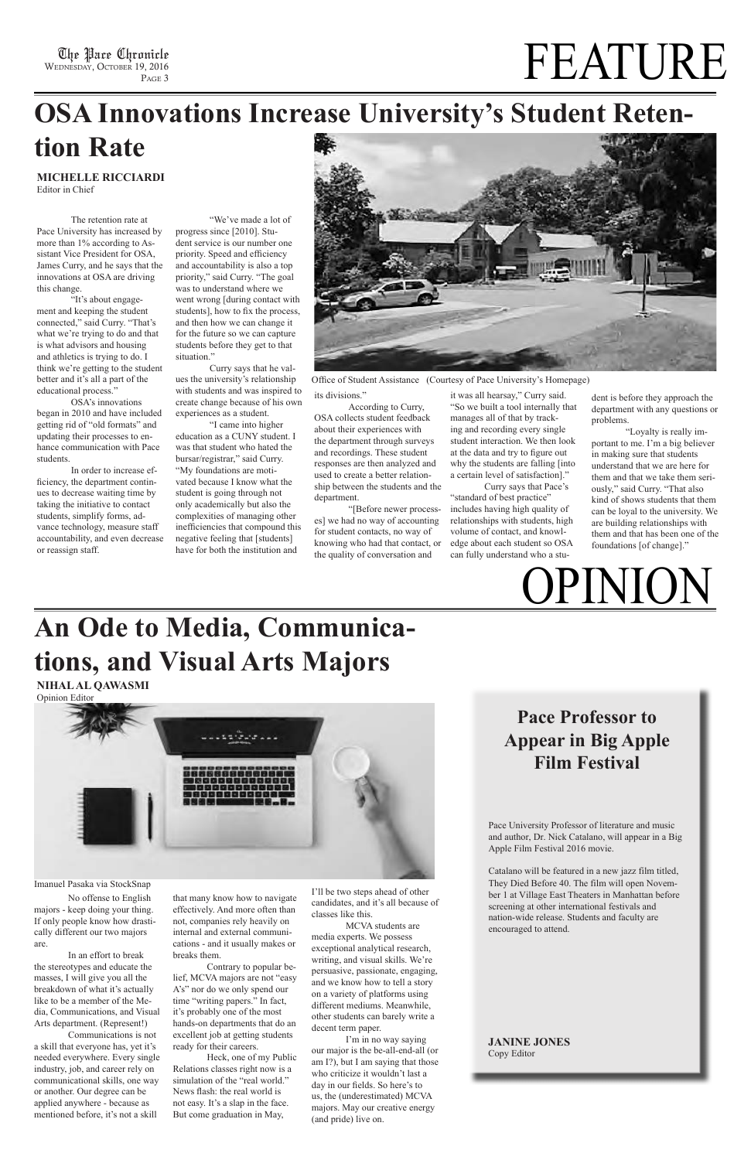WEDNESDAY, OCTOBER 19, 2016 PAGE<sub>3</sub>

# The Place Chronicle  $\mathrm{FEATURE} \sum_{\mathrm{PACE} \ 3}$

# **An Ode to Media, Communications, and Visual Arts Majors**

No offense to English majors - keep doing your thing. If only people know how drastically different our two majors are.

In an effort to break the stereotypes and educate the masses, I will give you all the breakdown of what it's actually like to be a member of the Media, Communications, and Visual Arts department. (Represent!)

Communications is not a skill that everyone has, yet it's needed everywhere. Every single industry, job, and career rely on communicational skills, one way or another. Our degree can be applied anywhere - because as mentioned before, it's not a skill

I'll be two steps ahead of other candidates, and it's all because of classes like this.

MCVA students are media experts. We possess exceptional analytical research, writing, and visual skills. We're persuasive, passionate, engaging, and we know how to tell a story on a variety of platforms using different mediums. Meanwhile, other students can barely write a decent term paper.

I'm in no way saying our major is the be-all-end-all (or am I?), but I am saying that those who criticize it wouldn't last a day in our felds. So here's to us, the (underestimated) MCVA majors. May our creative energy (and pride) live on.

that many know how to navigate effectively. And more often than not, companies rely heavily on internal and external communications - and it usually makes or breaks them.

Contrary to popular belief, MCVA majors are not "easy A's" nor do we only spend our time "writing papers." In fact, it's probably one of the most hands-on departments that do an excellent job at getting students ready for their careers.

Heck, one of my Public Relations classes right now is a simulation of the "real world." News fash: the real world is not easy. It's a slap in the face. But come graduation in May,

**NIHAL AL QAWASMI**  Opinion Editor



Imanuel Pasaka via StockSnap

### **OSA Innovations Increase University's Student Retention Rate**

**MICHELLE RICCIARDI**

Editor in Chief

The retention rate at Pace University has increased by more than 1% according to Assistant Vice President for OSA, James Curry, and he says that the innovations at OSA are driving this change.

"It's about engagement and keeping the student connected," said Curry. "That's what we're trying to do and that is what advisors and housing and athletics is trying to do. I think we're getting to the student better and it's all a part of the educational process."

OSA's innovations began in 2010 and have included getting rid of "old formats" and updating their processes to enhance communication with Pace students.

In order to increase effciency, the department continues to decrease waiting time by taking the initiative to contact students, simplify forms, advance technology, measure staff accountability, and even decrease or reassign staff.

"We've made a lot of progress since [2010]. Student service is our number one priority. Speed and efficiency and accountability is also a top priority," said Curry. "The goal was to understand where we went wrong [during contact with students], how to fix the process, and then how we can change it for the future so we can capture students before they get to that situation."

Curry says that he values the university's relationship with students and was inspired to create change because of his own experiences as a student.

"I came into higher education as a CUNY student. I was that student who hated the bursar/registrar," said Curry. "My foundations are motivated because I know what the student is going through not only academically but also the complexities of managing other inefficiencies that compound this negative feeling that [students] have for both the institution and



Office of Student Assistance (Courtesy of Pace University's Homepage)

its divisions."

According to Curry, OSA collects student feedback about their experiences with the department through surveys and recordings. These student responses are then analyzed and used to create a better relationship between the students and the department.

"[Before newer processes] we had no way of accounting for student contacts, no way of knowing who had that contact, or the quality of conversation and

it was all hearsay," Curry said. "So we built a tool internally that manages all of that by tracking and recording every single student interaction. We then look at the data and try to fgure out why the students are falling [into a certain level of satisfaction]."

Curry says that Pace's "standard of best practice" includes having high quality of relationships with students, high volume of contact, and knowledge about each student so OSA can fully understand who a student is before they approach the department with any questions or problems.

"Loyalty is really important to me. I'm a big believer in making sure that students understand that we are here for them and that we take them seriously," said Curry. "That also kind of shows students that them can be loyal to the university. We are building relationships with them and that has been one of the foundations [of change]."

### **Pace Professor to Appear in Big Apple Film Festival**

**OPINION** 

Pace University Professor of literature and music and author, Dr. Nick Catalano, will appear in a Big Apple Film Festival 2016 movie.

Catalano will be featured in a new jazz film titled, They Died Before 40. The film will open November 1 at Village East Theaters in Manhattan before screening at other international festivals and nation-wide release. Students and faculty are encouraged to attend.

#### **JANINE JONES** Copy Editor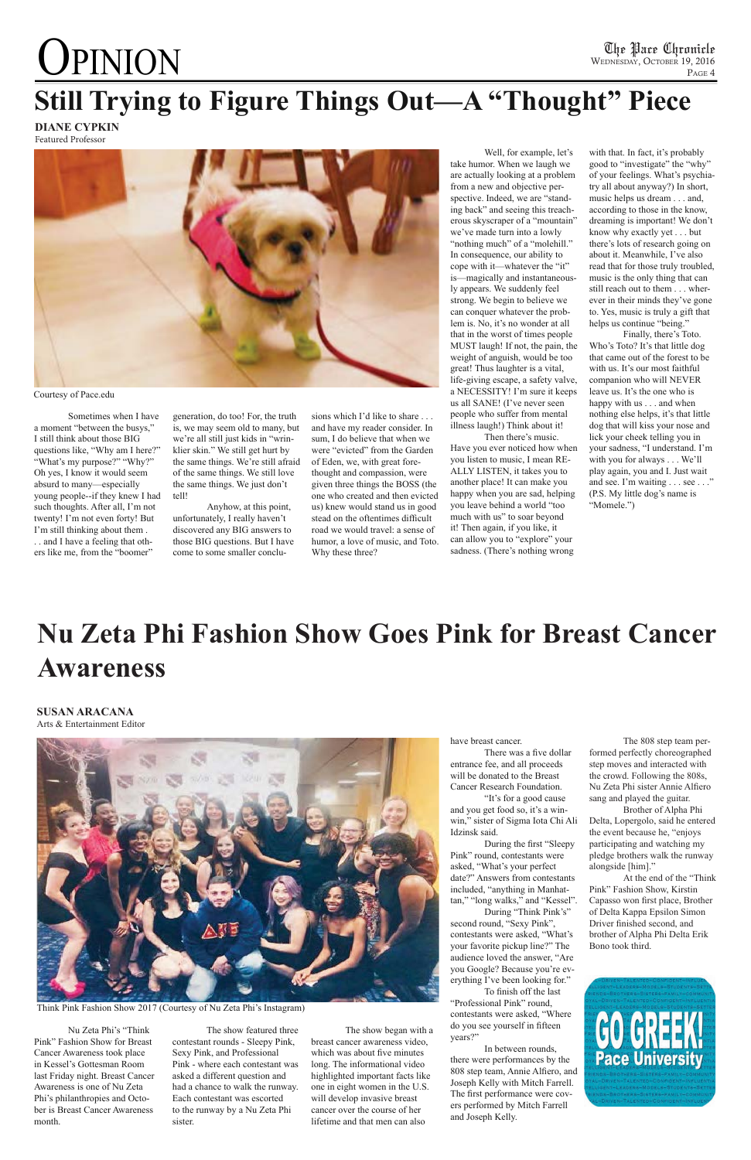# **OPINION**

Nu Zeta Phi's "Think Pink" Fashion Show for Breast Cancer Awareness took place in Kessel's Gottesman Room last Friday night. Breast Cancer Awareness is one of Nu Zeta Phi's philanthropies and October is Breast Cancer Awareness month.

The show featured three contestant rounds - Sleepy Pink, Sexy Pink, and Professional Pink - where each contestant was asked a different question and had a chance to walk the runway. Each contestant was escorted to the runway by a Nu Zeta Phi sister.

There was a five dollar entrance fee, and all proceeds will be donated to the Breast Cancer Research Foundation.

The show began with a breast cancer awareness video, which was about five minutes long. The informational video highlighted important facts like one in eight women in the U.S. will develop invasive breast cancer over the course of her lifetime and that men can also

#### have breast cancer.

"It's for a good cause and you get food so, it's a winwin," sister of Sigma Iota Chi Ali Idzinsk said.

During the frst "Sleepy Pink" round, contestants were asked, "What's your perfect date?" Answers from contestants included, "anything in Manhattan," "long walks," and "Kessel". During "Think Pink's" second round, "Sexy Pink", contestants were asked, "What's your favorite pickup line?" The audience loved the answer, "Are you Google? Because you're everything I've been looking for."

To fnish off the last "Professional Pink" round, contestants were asked, "Where do you see yourself in ffteen years?"

sions which I'd like to share . . . and have my reader consider. In sum, I do believe that when we were "evicted" from the Garden of Eden, we, with great forethought and compassion, were given three things the BOSS (the one who created and then evicted us) knew would stand us in good stead on the oftentimes difficult road we would travel: a sense of humor, a love of music, and Toto. Why these three?

> In between rounds, there were performances by the 808 step team, Annie Alfero, and Joseph Kelly with Mitch Farrell. The frst performance were covers performed by Mitch Farrell and Joseph Kelly.

Think Pink Fashion Show 2017 (Courtesy of Nu Zeta Phi's Instagram)

Sometimes when I have a moment "between the busys," I still think about those BIG questions like, "Why am I here?" "What's my purpose?" "Why?" Oh yes, I know it would seem absurd to many—especially young people--if they knew I had such thoughts. After all, I'm not twenty! I'm not even forty! But I'm still thinking about them . . . and I have a feeling that others like me, from the "boomer"

generation, do too! For, the truth is, we may seem old to many, but we're all still just kids in "wrinklier skin." We still get hurt by the same things. We're still afraid of the same things. We still love the same things. We just don't tell!

Anyhow, at this point, unfortunately, I really haven't discovered any BIG answers to those BIG questions. But I have come to some smaller conclu-

Well, for example, let's take humor. When we laugh we are actually looking at a problem from a new and objective perspective. Indeed, we are "standing back" and seeing this treacherous skyscraper of a "mountain" we've made turn into a lowly "nothing much" of a "molehill." In consequence, our ability to cope with it—whatever the "it" is—magically and instantaneously appears. We suddenly feel strong. We begin to believe we can conquer whatever the problem is. No, it's no wonder at all that in the worst of times people MUST laugh! If not, the pain, the weight of anguish, would be too great! Thus laughter is a vital, life-giving escape, a safety valve, a NECESSITY! I'm sure it keeps us all SANE! (I've never seen people who suffer from mental illness laugh!) Think about it!

### **Still Trying to Figure Things Out—A "Thought" Piece DIANE CYPKIN**

Then there's music. Have you ever noticed how when you listen to music, I mean RE-ALLY LISTEN, it takes you to another place! It can make you happy when you are sad, helping you leave behind a world "too much with us" to soar beyond it! Then again, if you like, it can allow you to "explore" your sadness. (There's nothing wrong

with that. In fact, it's probably good to "investigate" the "why" of your feelings. What's psychiatry all about anyway?) In short, music helps us dream . . . and, according to those in the know, dreaming is important! We don't know why exactly yet . . . but there's lots of research going on about it. Meanwhile, I've also read that for those truly troubled, music is the only thing that can still reach out to them . . . wherever in their minds they've gone to. Yes, music is truly a gift that helps us continue "being."

Finally, there's Toto. Who's Toto? It's that little dog that came out of the forest to be with us. It's our most faithful companion who will NEVER leave us. It's the one who is happy with us . . . and when nothing else helps, it's that little dog that will kiss your nose and lick your cheek telling you in your sadness, "I understand. I'm with you for always . . . We'll play again, you and I. Just wait and see. I'm waiting . . . see . . ." (P.S. My little dog's name is "Momele.")



Courtesy of Pace.edu

Featured Professor

# **Nu Zeta Phi Fashion Show Goes Pink for Breast Cancer Awareness**

#### **SUSAN ARACANA** Arts & Entertainment Editor



The 808 step team performed perfectly choreographed step moves and interacted with the crowd. Following the 808s, Nu Zeta Phi sister Annie Alfero sang and played the guitar.

Brother of Alpha Phi Delta, Lopergolo, said he entered the event because he, "enjoys participating and watching my pledge brothers walk the runway alongside [him]."

At the end of the "Think Pink" Fashion Show, Kirstin Capasso won frst place, Brother of Delta Kappa Epsilon Simon Driver fnished second, and brother of Alpha Phi Delta Erik Bono took third.

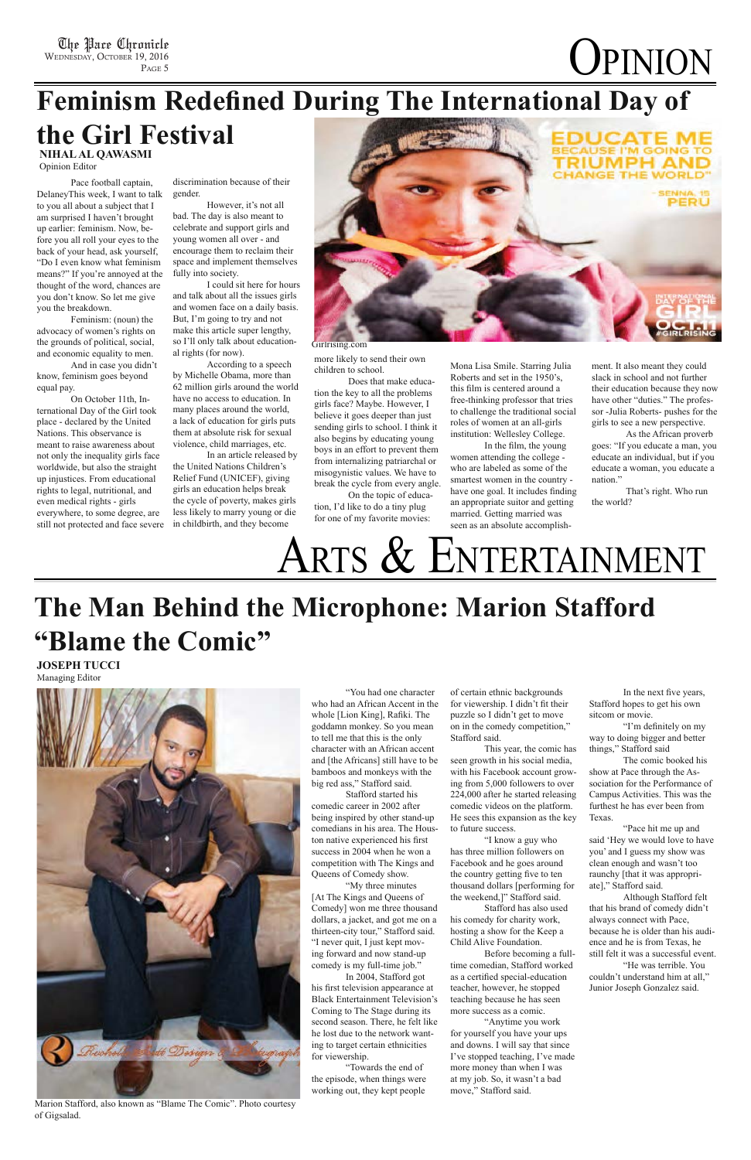# **The Man Behind the Microphone: Marion Stafford "Blame the Comic"**

 "You had one character who had an African Accent in the whole [Lion King], Rafki. The goddamn monkey. So you mean to tell me that this is the only character with an African accent and [the Africans] still have to be bamboos and monkeys with the big red ass," Stafford said.

 Stafford started his comedic career in 2002 after being inspired by other stand-up comedians in his area. The Houston native experienced his frst success in 2004 when he won a competition with The Kings and Queens of Comedy show.

 "My three minutes [At The Kings and Queens of Comedy] won me three thousand dollars, a jacket, and got me on a thirteen-city tour," Stafford said. "I never quit, I just kept moving forward and now stand-up comedy is my full-time job."

 In 2004, Stafford got his frst television appearance at Black Entertainment Television's Coming to The Stage during its second season. There, he felt like he lost due to the network wanting to target certain ethnicities for viewership.

 "Towards the end of the episode, when things were working out, they kept people

of certain ethnic backgrounds for viewership. I didn't fit their puzzle so I didn't get to move on in the comedy competition," Stafford said.

 This year, the comic has seen growth in his social media, with his Facebook account growing from 5,000 followers to over 224,000 after he started releasing comedic videos on the platform. He sees this expansion as the key to future success.

 "I know a guy who has three million followers on Facebook and he goes around the country getting five to ten thousand dollars [performing for the weekend,]" Stafford said. Stafford has also used his comedy for charity work, hosting a show for the Keep a Child Alive Foundation. Before becoming a fulltime comedian, Stafford worked as a certifed special-education teacher, however, he stopped teaching because he has seen more success as a comic.

 "Anytime you work for yourself you have your ups and downs. I will say that since I've stopped teaching, I've made more money than when I was at my job. So, it wasn't a bad move," Stafford said.

 In the next fve years, Stafford hopes to get his own sitcom or movie.

 "I'm defnitely on my way to doing bigger and better things," Stafford said

 The comic booked his show at Pace through the Association for the Performance of Campus Activities. This was the furthest he has ever been from Texas.

 "Pace hit me up and said 'Hey we would love to have you' and I guess my show was clean enough and wasn't too raunchy [that it was appropriate]," Stafford said.

 Although Stafford felt that his brand of comedy didn't always connect with Pace, because he is older than his audience and he is from Texas, he still felt it was a successful event. "He was terrible. You couldn't understand him at all," Junior Joseph Gonzalez said.

**JOSEPH TUCCI**  Managing Editor



Marion Stafford, also known as "Blame The Comic". Photo courtesy of Gigsalad.

The Pace Chronicle WEDNESDAY, OCTOBER 19, 2016 P<sub>AGE</sub> 5

# **Feminism Redefned During The International Day of**

 Pace football captain, DelaneyThis week, I want to talk to you all about a subject that I am surprised I haven't brought up earlier: feminism. Now, before you all roll your eyes to the back of your head, ask yourself, "Do I even know what feminism means?" If you're annoyed at the thought of the word, chances are you don't know. So let me give you the breakdown.

 Feminism: (noun) the advocacy of women's rights on the grounds of political, social, and economic equality to men.

 And in case you didn't know, feminism goes beyond equal pay.

 On October 11th, International Day of the Girl took place - declared by the United Nations. This observance is meant to raise awareness about not only the inequality girls face worldwide, but also the straight up injustices. From educational rights to legal, nutritional, and even medical rights - girls everywhere, to some degree, are still not protected and face severe

discrimination because of their gender.

 However, it's not all bad. The day is also meant to celebrate and support girls and young women all over - and encourage them to reclaim their space and implement themselves fully into society.

 I could sit here for hours and talk about all the issues girls and women face on a daily basis. But, I'm going to try and not make this article super lengthy, so I'll only talk about educational rights (for now).

 According to a speech by Michelle Obama, more than 62 million girls around the world have no access to education. In many places around the world, a lack of education for girls puts them at absolute risk for sexual violence, child marriages, etc.

### **the Girl Festival NIHAL AL QAWASMI**

 In an article released by the United Nations Children's Relief Fund (UNICEF), giving girls an education helps break the cycle of poverty, makes girls less likely to marry young or die in childbirth, and they become



more likely to send their own children to school.

 Does that make education the key to all the problems girls face? Maybe. However, I believe it goes deeper than just sending girls to school. I think it also begins by educating young boys in an effort to prevent them from internalizing patriarchal or misogynistic values. We have to break the cycle from every angle.

 On the topic of education, I'd like to do a tiny plug for one of my favorite movies:

Girlrising.com

Mona Lisa Smile. Starring Julia Roberts and set in the 1950's, this flm is centered around a free-thinking professor that tries to challenge the traditional social roles of women at an all-girls institution: Wellesley College.

 In the flm, the young women attending the college who are labeled as some of the smartest women in the country have one goal. It includes fnding an appropriate suitor and getting married. Getting married was seen as an absolute accomplishment. It also meant they could slack in school and not further their education because they now have other "duties." The professor -Julia Roberts- pushes for the girls to see a new perspective.

**OPINION** 

 As the African proverb goes: "If you educate a man, you educate an individual, but if you educate a woman, you educate a nation."

 That's right. Who run the world?

# ARTS & ENTERTAINMENT

Opinion Editor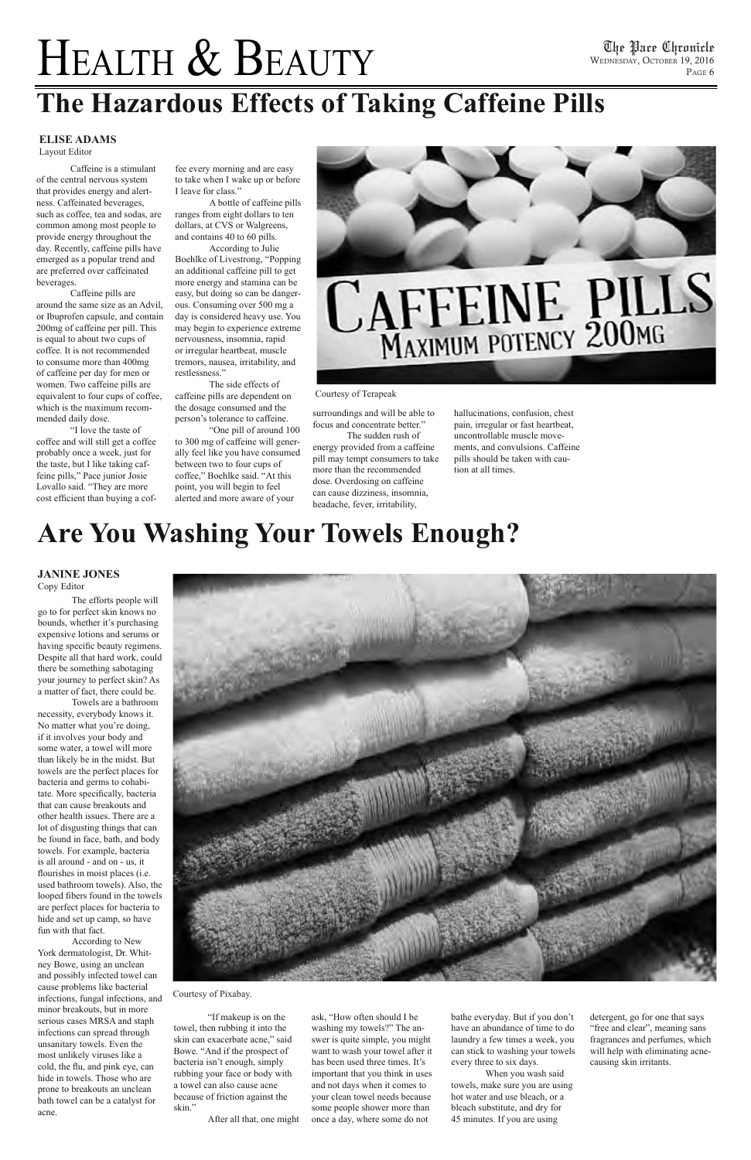# HEALTH & BEAUTY

## **Are You Washing Your Towels Enough?**

 The efforts people will go to for perfect skin knows no bounds, whether it's purchasing expensive lotions and serums or having specifc beauty regimens. Despite all that hard work, could there be something sabotaging your journey to perfect skin? As a matter of fact, there could be.

 Towels are a bathroom necessity, everybody knows it. No matter what you're doing, if it involves your body and some water, a towel will more than likely be in the midst. But towels are the perfect places for bacteria and germs to cohabitate. More specifcally, bacteria that can cause breakouts and other health issues. There are a lot of disgusting things that can be found in face, bath, and body towels. For example, bacteria is all around - and on - us, it flourishes in moist places (i.e. used bathroom towels). Also, the looped fbers found in the towels are perfect places for bacteria to hide and set up camp, so have fun with that fact. According to New York dermatologist, Dr. Whitney Bowe, using an unclean and possibly infected towel can cause problems like bacterial infections, fungal infections, and minor breakouts, but in more serious cases MRSA and staph infections can spread through unsanitary towels. Even the most unlikely viruses like a cold, the fu, and pink eye, can hide in towels. Those who are prone to breakouts an unclean bath towel can be a catalyst for acne.



 "If makeup is on the towel, then rubbing it into the skin can exacerbate acne," said Bowe. "And if the prospect of bacteria isn't enough, simply rubbing your face or body with a towel can also cause acne because of friction against the skin."

 "I love the taste of coffee and will still get a coffee probably once a week, just for the taste, but I like taking caffeine pills," Pace junior Josie Lovallo said. "They are more cost efficient than buying a cof-

After all that, one might

ask, "How often should I be washing my towels?" The answer is quite simple, you might want to wash your towel after it has been used three times. It's important that you think in uses and not days when it comes to your clean towel needs because some people shower more than once a day, where some do not

bathe everyday. But if you don't have an abundance of time to do laundry a few times a week, you can stick to washing your towels every three to six days.

 When you wash said towels, make sure you are using hot water and use bleach, or a bleach substitute, and dry for 45 minutes. If you are using

detergent, go for one that says "free and clear", meaning sans fragrances and perfumes, which will help with eliminating acnecausing skin irritants.

### **JANINE JONES**

Copy Editor

 Caffeine is a stimulant of the central nervous system that provides energy and alertness. Caffeinated beverages, such as coffee, tea and sodas, are common among most people to provide energy throughout the day. Recently, caffeine pills have emerged as a popular trend and are preferred over caffeinated beverages.

 Caffeine pills are around the same size as an Advil, or Ibuprofen capsule, and contain 200mg of caffeine per pill. This is equal to about two cups of coffee. It is not recommended to consume more than 400mg of caffeine per day for men or women. Two caffeine pills are equivalent to four cups of coffee, which is the maximum recommended daily dose.

fee every morning and are easy to take when I wake up or before I leave for class."

 A bottle of caffeine pills ranges from eight dollars to ten dollars, at CVS or Walgreens, and contains 40 to 60 pills.

 According to Julie Boehlke of Livestrong, "Popping an additional caffeine pill to get more energy and stamina can be easy, but doing so can be dangerous. Consuming over 500 mg a day is considered heavy use. You may begin to experience extreme nervousness, insomnia, rapid or irregular heartbeat, muscle tremors, nausea, irritability, and restlessness."

 The side effects of caffeine pills are dependent on the dosage consumed and the person's tolerance to caffeine.

 "One pill of around 100 to 300 mg of caffeine will generally feel like you have consumed between two to four cups of coffee," Boehlke said. "At this point, you will begin to feel alerted and more aware of your



# **CAFFEINE PILLS**

surroundings and will be able to

focus and concentrate better." The sudden rush of

energy provided from a caffeine pill may tempt consumers to take more than the recommended dose. Overdosing on caffeine can cause dizziness, insomnia, headache, fever, irritability,

hallucinations, confusion, chest pain, irregular or fast heartbeat, uncontrollable muscle movements, and convulsions. Caffeine pills should be taken with caution at all times.

# **The Hazardous Effects of Taking Caffeine Pills**

### **ELISE ADAMS**

Layout Editor

### Courtesy of Terapeak

Courtesy of Pixabay.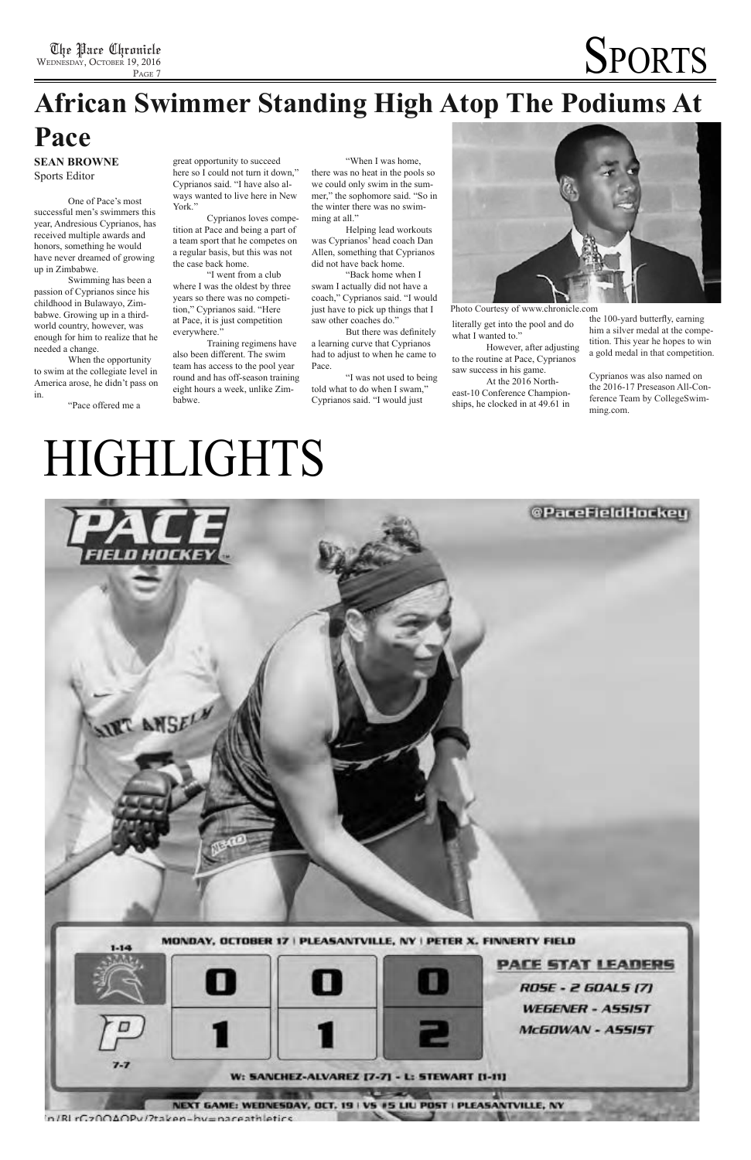# **African Swimmer Standing High Atop The Podiums At**

### **Pace**

 One of Pace's most successful men's swimmers this year, Andresious Cyprianos, has received multiple awards and honors, something he would have never dreamed of growing up in Zimbabwe.

 Swimming has been a passion of Cyprianos since his childhood in Bulawayo, Zimbabwe. Growing up in a thirdworld country, however, was enough for him to realize that he needed a change.

 When the opportunity to swim at the collegiate level in America arose, he didn't pass on in.

"Pace offered me a

great opportunity to succeed here so I could not turn it down," Cyprianos said. "I have also always wanted to live here in New York."

 Cyprianos loves competition at Pace and being a part of a team sport that he competes on a regular basis, but this was not the case back home.

> literally get into the pool and do what I wanted to."

 "I went from a club where I was the oldest by three years so there was no competition," Cyprianos said. "Here at Pace, it is just competition everywhere."

# **SPORTS**

 Training regimens have also been different. The swim team has access to the pool year round and has off-season training eight hours a week, unlike Zimbabwe.

 "When I was home, there was no heat in the pools so we could only swim in the summer," the sophomore said. "So in the winter there was no swimming at all."

 Helping lead workouts was Cyprianos' head coach Dan Allen, something that Cyprianos did not have back home.

 "Back home when I swam I actually did not have a coach," Cyprianos said. "I would just have to pick up things that I saw other coaches do."

 But there was defnitely a learning curve that Cyprianos had to adjust to when he came to Pace.

 "I was not used to being told what to do when I swam," Cyprianos said. "I would just



 However, after adjusting to the routine at Pace, Cyprianos saw success in his game.

 At the 2016 Northeast-10 Conference Championships, he clocked in at 49.61 in

**SEAN BROWNE** Sports Editor

> the 100-yard butterfy, earning him a silver medal at the competition. This year he hopes to win a gold medal in that competition.

Cyprianos was also named on the 2016-17 Preseason All-Conference Team by CollegeSwimming.com.

# HIGHLIGHTS



Photo Courtesy of www.chronicle.com